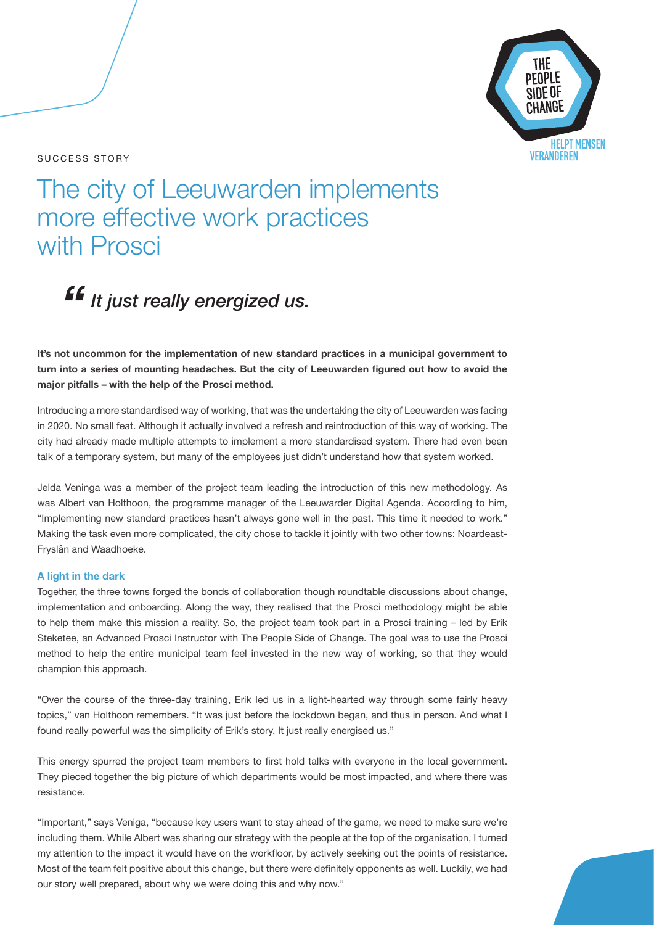### SUCCESS STORY



# The city of Leeuwarden implements more effective work practices with Prosci

*It just really energized us. "*

## **It's not uncommon for the implementation of new standard practices in a municipal government to turn into a series of mounting headaches. But the city of Leeuwarden figured out how to avoid the major pitfalls – with the help of the Prosci method.**

Introducing a more standardised way of working, that was the undertaking the city of Leeuwarden was facing in 2020. No small feat. Although it actually involved a refresh and reintroduction of this way of working. The city had already made multiple attempts to implement a more standardised system. There had even been talk of a temporary system, but many of the employees just didn't understand how that system worked.

Jelda Veninga was a member of the project team leading the introduction of this new methodology. As was Albert van Holthoon, the programme manager of the Leeuwarder Digital Agenda. According to him, "Implementing new standard practices hasn't always gone well in the past. This time it needed to work." Making the task even more complicated, the city chose to tackle it jointly with two other towns: Noardeast-Fryslân and Waadhoeke.

### **A light in the dark**

Together, the three towns forged the bonds of collaboration though roundtable discussions about change, implementation and onboarding. Along the way, they realised that the Prosci methodology might be able to help them make this mission a reality. So, the project team took part in a Prosci training – led by Erik Steketee, an Advanced Prosci Instructor with The People Side of Change. The goal was to use the Prosci method to help the entire municipal team feel invested in the new way of working, so that they would champion this approach.

"Over the course of the three-day training, Erik led us in a light-hearted way through some fairly heavy topics," van Holthoon remembers. "It was just before the lockdown began, and thus in person. And what I found really powerful was the simplicity of Erik's story. It just really energised us."

This energy spurred the project team members to first hold talks with everyone in the local government. They pieced together the big picture of which departments would be most impacted, and where there was resistance.

"Important," says Veniga, "because key users want to stay ahead of the game, we need to make sure we're including them. While Albert was sharing our strategy with the people at the top of the organisation, I turned my attention to the impact it would have on the workfloor, by actively seeking out the points of resistance. Most of the team felt positive about this change, but there were definitely opponents as well. Luckily, we had our story well prepared, about why we were doing this and why now."